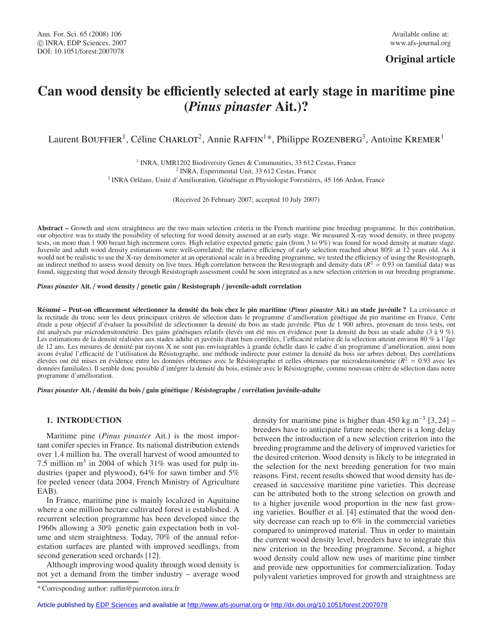# **Original article**

# **Can wood density be e**ffi**ciently selected at early stage in maritime pine (***Pinus pinaster* **Ait.)?**

Laurent BOUFFIER<sup>1</sup>, Céline CHARLOT<sup>2</sup>, Annie RAFFIN<sup>1\*</sup>, Philippe ROZENBERG<sup>3</sup>, Antoine KREMER<sup>1</sup>

<sup>1</sup> INRA, UMR1202 Biodiversity Genes & Communities, 33 612 Cestas, France <sup>2</sup> INRA, Experimental Unit, 33 612 Cestas, France <sup>3</sup> INRA Orléans, Unité d'Amélioration, Génétique et Physiologie Forestières, 45 166 Ardon, France

(Received 26 February 2007; accepted 10 July 2007)

**Abstract –** Growth and stem straightness are the two main selection criteria in the French maritime pine breeding programme. In this contribution, our objective was to study the possibility of selecting for wood density assessed at an early stage. We measured X-ray wood density, in three progeny tests, on more than 1 900 breast high increment cores. High relative expected genetic gain (from 3 to 9%) was found for wood density at mature stage. Juvenile and adult wood density estimations were well-correlated; the relative efficiency of early selection reached about 80% at 12 years old. As it would not be realistic to use the X-ray densitometer at an operational scale in a breeding programme, we tested the efficiency of using the Resistograph, an indirect method to assess wood density on live trees. High correlation between the Resistograph and density data  $(R^2 = 0.93$  on familial data) was found, suggesting that wood density through Resistograph assessment could be soon integrated as a new selection criterion in our breeding programme.

*Pinus pinaster* **Ait.** / **wood density** / **genetic gain** / **Resistograph** / **juvenile-adult correlation**

**Résumé – Peut-on e**ffi**cacement sélectionner la densité du bois chez le pin maritime (***Pinus pinaster* **Ait.) au stade juvénile ?** La croissance et la rectitude du tronc sont les deux principaux critères de sélection dans le programme d'amélioration génétique du pin maritime en France. Cette étude a pour objectif d'évaluer la possibilité de sélectionner la densité du bois au stade juvénile. Plus de 1 900 arbres, provenant de trois tests, ont été analysés par microdensitométrie. Des gains génétiques relatifs élevés ont été mis en évidence pour la densité du bois au stade adulte (3 à 9 %). Les estimations de la densité réalisées aux stades adulte et juvénile étant bien corrélées, l'efficacité relative de la sélection atteint environ 80 % à l'âge de 12 ans. Les mesures de densité par rayons X ne sont pas envisageables à grande échelle dans le cadre d'un programme d'amélioration, ainsi nous avons évalué l'efficacité de l'utilisation du Résistographe, une méthode indirecte pour estimer la densité du bois sur arbres debout. Des corrélations élevées ont été mises en évidence entre les données obtenues avec le Résistographe et celles obtenues par microdensitométrie ( $R<sup>2</sup> = 0.93$  avec les données familiales). Il semble donc possible d'intégrer la densité du bois, estimée avec le Résistographe, comme nouveau critère de sélection dans notre programme d'amélioration.

*Pinus pinaster* **Ait.** / **densité du bois** / **gain génétique** / **Résistographe** / **corrélation juvénile-adulte**

## **1. INTRODUCTION**

Maritime pine (*Pinus pinaster* Ait.) is the most important conifer species in France. Its national distribution extends over 1.4 million ha. The overall harvest of wood amounted to 7.5 million  $m<sup>3</sup>$  in 2004 of which 31% was used for pulp industries (paper and plywood), 64% for sawn timber and 5% for peeled veneer (data 2004, French Ministry of Agriculture EAB).

In France, maritime pine is mainly localized in Aquitaine where a one million hectare cultivated forest is established. A recurrent selection programme has been developed since the 1960s allowing a 30% genetic gain expectation both in volume and stem straightness. Today, 70% of the annual reforestation surfaces are planted with improved seedlings, from second generation seed orchards [12].

Although improving wood quality through wood density is not yet a demand from the timber industry – average wood

density for maritime pine is higher than 450 kg.m<sup>-3</sup> [3, 24] – breeders have to anticipate future needs; there is a long delay between the introduction of a new selection criterion into the breeding programme and the delivery of improved varieties for the desired criterion. Wood density is likely to be integrated in the selection for the next breeding generation for two main reasons. First, recent results showed that wood density has decreased in successive maritime pine varieties. This decrease can be attributed both to the strong selection on growth and to a higher juvenile wood proportion in the new fast growing varieties. Bouffier et al. [4] estimated that the wood density decrease can reach up to 6% in the commercial varieties compared to unimproved material. Thus in order to maintain the current wood density level, breeders have to integrate this new criterion in the breeding programme. Second, a higher wood density could allow new uses of maritime pine timber and provide new opportunities for commercialization. Today polyvalent varieties improved for growth and straightness are

<sup>\*</sup> Corresponding author: raffin@pierroton.inra.fr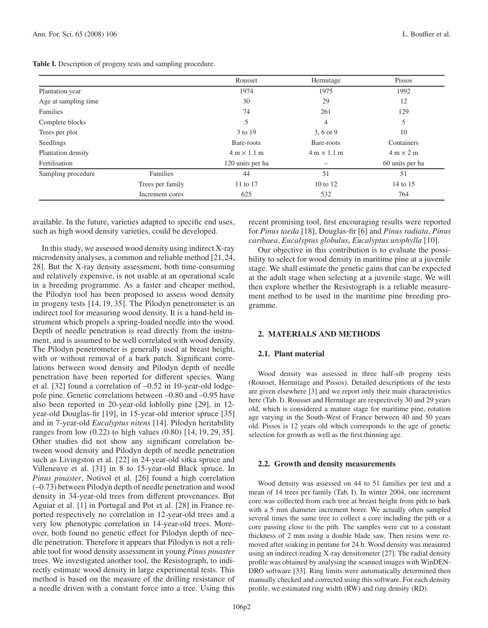|                      |                  | Rousset                            | Hermitage                          | Pissos           |
|----------------------|------------------|------------------------------------|------------------------------------|------------------|
| Plantation year      |                  | 1974                               | 1975                               | 1992             |
| Age at sampling time |                  | 30                                 | 29                                 | 12               |
| Families             |                  | 74                                 | 261                                | 129              |
| Complete blocks      |                  | 5                                  | 4                                  | 5                |
| Trees per plot       |                  | 3 to 19                            | 3, 6 or 9                          | 10               |
| Seedlings            |                  | Bare-roots                         | Bare-roots                         | Containers       |
| Plantation density   |                  | $4 \text{ m} \times 1.1 \text{ m}$ | $4 \text{ m} \times 1.1 \text{ m}$ | $4 m \times 2 m$ |
| Fertilisation        |                  | 120 units per ha                   |                                    | 60 units per ha  |
| Sampling procedure   | Families         | 44                                 | 51                                 | 51               |
|                      | Trees per family | 11 to 17                           | 10 to 12                           | 14 to 15         |
|                      | Increment cores  | 625                                | 532                                | 764              |

**Table I.** Description of progeny tests and sampling procedure.

available. In the future, varieties adapted to specific end uses, such as high wood density varieties, could be developed.

In this study, we assessed wood density using indirect X-ray microdensity analyses, a common and reliable method [21,24, 28]. But the X-ray density assessment, both time-consuming and relatively expensive, is not usable at an operational scale in a breeding programme. As a faster and cheaper method, the Pilodyn tool has been proposed to assess wood density in progeny tests [14, 19, 35]. The Pilodyn penetrometer is an indirect tool for measuring wood density. It is a hand-held instrument which propels a spring-loaded needle into the wood. Depth of needle penetration is read directly from the instrument, and is assumed to be well correlated with wood density. The Pilodyn penetrometer is generally used at breast height, with or without removal of a bark patch. Significant correlations between wood density and Pilodyn depth of needle penetration have been reported for different species. Wang et al. [32] found a correlation of –0.52 in 10-year-old lodgepole pine. Genetic correlations between –0.80 and –0.95 have also been reported in 20-year-old loblolly pine [29], in 12 year-old Douglas-fir [19], in 15-year-old interior spruce [35] and in 7-year-old *Eucalyptus nitens* [14]. Pilodyn heritability ranges from low (0.22) to high values (0.80) [14, 19, 29, 35]. Other studies did not show any significant correlation between wood density and Pilodyn depth of needle penetration such as Livingston et al. [22] in 24-year-old sitka spruce and Villeneuve et al. [31] in 8 to 15-year-old Black spruce. In *Pinus pinaster*, Notivol et al. [26] found a high correlation (–0.73) between Pilodyn depth of needle penetration and wood density in 34-year-old trees from different provenances. But Aguiar et al. [1] in Portugal and Pot et al. [28] in France reported respectively no correlation in 12-year-old trees and a very low phenotypic correlation in 14-year-old trees. Moreover, both found no genetic effect for Pilodyn depth of needle penetration. Therefore it appears that Pilodyn is not a reliable tool for wood density assessment in young *Pinus pinaster* trees. We investigated another tool, the Resistograph, to indirectly estimate wood density in large experimental tests. This method is based on the measure of the drilling resistance of a needle driven with a constant force into a tree. Using this

recent promising tool, first encouraging results were reported for *Pinus taeda* [18], Douglas-fir [6] and *Pinus radiata*, *Pinus caribaea*, *Eucalyptus globulus*, *Eucalyptus urophylla* [10].

Our objective in this contribution is to evaluate the possibility to select for wood density in maritime pine at a juvenile stage. We shall estimate the genetic gains that can be expected at the adult stage when selecting at a juvenile stage. We will then explore whether the Resistograph is a reliable measurement method to be used in the maritime pine breeding programme.

#### **2. MATERIALS AND METHODS**

# **2.1. Plant material**

Wood density was assessed in three half-sib progeny tests (Rousset, Hermitage and Pissos). Detailed descriptions of the tests are given elsewhere [3] and we report only their main characteristics here (Tab. I). Rousset and Hermitage are respectively 30 and 29 years old, which is considered a mature stage for maritime pine, rotation age varying in the South-West of France between 40 and 50 years old. Pissos is 12 years old which corresponds to the age of genetic selection for growth as well as the first thinning age.

#### **2.2. Growth and density measurements**

Wood density was assessed on 44 to 51 families per test and a mean of 14 trees per family (Tab. I). In winter 2004, one increment core was collected from each tree at breast height from pith to bark with a 5 mm diameter increment borer. We actually often sampled several times the same tree to collect a core including the pith or a core passing close to the pith. The samples were cut to a constant thickness of 2 mm using a double blade saw. Then resins were removed after soaking in pentane for 24 h. Wood density was measured using an indirect-reading X-ray densitometer [27]. The radial density profile was obtained by analysing the scanned images with WinDEN-DRO software [33]. Ring limits were automatically determined then manually checked and corrected using this software. For each density profile, we estimated ring width (RW) and ring density (RD).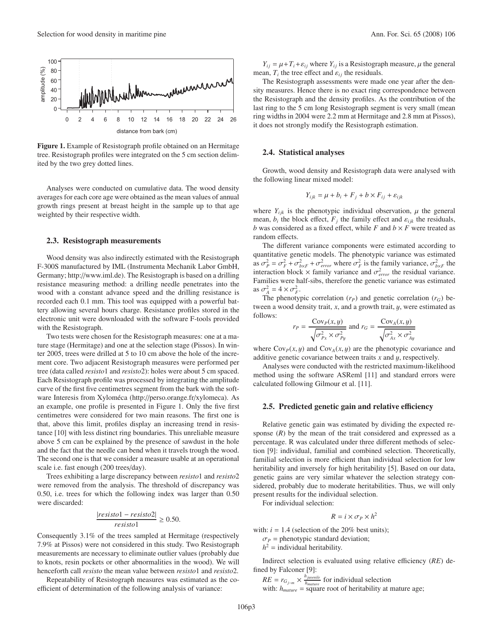

**Figure 1.** Example of Resistograph profile obtained on an Hermitage tree. Resistograph profiles were integrated on the 5 cm section delimited by the two grey dotted lines.

Analyses were conducted on cumulative data. The wood density averages for each core age were obtained as the mean values of annual growth rings present at breast height in the sample up to that age weighted by their respective width.

#### **2.3. Resistograph measurements**

Wood density was also indirectly estimated with the Resistograph F-300S manufactured by IML (Instrumenta Mechanik Labor GmbH, Germany; http://www.iml.de). The Resistograph is based on a drilling resistance measuring method: a drilling needle penetrates into the wood with a constant advance speed and the drilling resistance is recorded each 0.1 mm. This tool was equipped with a powerful battery allowing several hours charge. Resistance profiles stored in the electronic unit were downloaded with the software F-tools provided with the Resistograph.

Two tests were chosen for the Resistograph measures: one at a mature stage (Hermitage) and one at the selection stage (Pissos). In winter 2005, trees were drilled at 5 to 10 cm above the hole of the increment core. Two adjacent Resistograph measures were performed per tree (data called *resisto*1 and *resisto*2): holes were about 5 cm spaced. Each Resistograph profile was processed by integrating the amplitude curve of the first five centimetres segment from the bark with the software Interesis from Xyloméca (http://perso.orange.fr/xylomeca). As an example, one profile is presented in Figure 1. Only the five first centimetres were considered for two main reasons. The first one is that, above this limit, profiles display an increasing trend in resistance [10] with less distinct ring boundaries. This unreliable measure above 5 cm can be explained by the presence of sawdust in the hole and the fact that the needle can bend when it travels trough the wood. The second one is that we consider a measure usable at an operational scale i.e. fast enough (200 trees/day).

Trees exhibiting a large discrepancy between *resisto*1 and *resisto*2 were removed from the analysis. The threshold of discrepancy was 0.50, i.e. trees for which the following index was larger than 0.50 were discarded:

$$
\frac{|resisto1 - resisto2|}{resisto1} \ge 0.50.
$$

Consequently 3.1% of the trees sampled at Hermitage (respectively 7.9% at Pissos) were not considered in this study. Two Resistograph measurements are necessary to eliminate outlier values (probably due to knots, resin pockets or other abnormalities in the wood). We will henceforth call *resisto* the mean value between *resisto*1 and *resisto*2.

Repeatability of Resistograph measures was estimated as the coefficient of determination of the following analysis of variance:

 $Y_{ii} = \mu + T_i + \varepsilon_{ii}$  where  $Y_{ii}$  is a Resistograph measure,  $\mu$  the general mean,  $T_i$  the tree effect and  $\varepsilon_{ii}$  the residuals.

The Resistograph assessments were made one year after the density measures. Hence there is no exact ring correspondence between the Resistograph and the density profiles. As the contribution of the last ring to the 5 cm long Resistograph segment is very small (mean ring widths in 2004 were 2.2 mm at Hermitage and 2.8 mm at Pissos), it does not strongly modify the Resistograph estimation.

#### **2.4. Statistical analyses**

Growth, wood density and Resistograph data were analysed with the following linear mixed model:

$$
Y_{ijk} = \mu + b_i + F_j + b \times F_{ij} + \varepsilon_{ijk}
$$

where  $Y_{ijk}$  is the phenotypic individual observation,  $\mu$  the general mean,  $b_i$  the block effect,  $F_j$  the family effect and  $\varepsilon_{ijk}$  the residuals, *b* was considered as a fixed effect, while *F* and  $b \times F$  were treated as random effects.

The different variance components were estimated according to quantitative genetic models. The phenotypic variance was estimated as  $\sigma_P^2 = \sigma_F^2 + \sigma_{bxF}^2 + \sigma_{error}^2$  where  $\sigma_F^2$  is the family variance,  $\sigma_{bxF}^2$  the interaction block  $\times$  family variance and  $\sigma_{\text{error}}^2$  the residual variance. Families were half-sibs, therefore the genetic variance was estimated as  $\sigma_A^2 = 4 \times \sigma_F^2$ .

The phenotypic correlation  $(r_P)$  and genetic correlation  $(r_G)$  between a wood density trait, *x*, and a growth trait, y, were estimated as follows:

$$
r_P = \frac{\text{Cov}_P(x, y)}{\sqrt{\sigma_{Px}^2 \times \sigma_{Py}^2}} \text{ and } r_G = \frac{\text{Cov}_A(x, y)}{\sqrt{\sigma_{Ax}^2 \times \sigma_{Ay}^2}}
$$

where  $Cov<sub>P</sub>(x, y)$  and  $Cov<sub>A</sub>(x, y)$  are the phenotypic covariance and additive genetic covariance between traits *x* and y, respectively.

Analyses were conducted with the restricted maximum-likelihood method using the software ASReml [11] and standard errors were calculated following Gilmour et al. [11].

#### **2.5. Predicted genetic gain and relative e**ffi**ciency**

Relative genetic gain was estimated by dividing the expected response (*R*) by the mean of the trait considered and expressed as a percentage. R was calculated under three different methods of selection [9]: individual, familial and combined selection. Theoretically, familial selection is more efficient than individual selection for low heritability and inversely for high heritability [5]. Based on our data, genetic gains are very similar whatever the selection strategy considered, probably due to moderate heritabilities. Thus, we will only present results for the individual selection.

For individual selection:

$$
R = i \times \sigma_P \times h^2
$$

with:  $i = 1.4$  (selection of the 20% best units);

 $\sigma_P$  = phenotypic standard deviation;

 $h^2$  = individual heritability.

Indirect selection is evaluated using relative efficiency (*RE*) defined by Falconer [9]:

 $RE = r_{G_j-m} \times \frac{h_{jueenile}}{h_{matrix}}$  for individual selection with:  $h_{matter}$  = square root of heritability at mature age;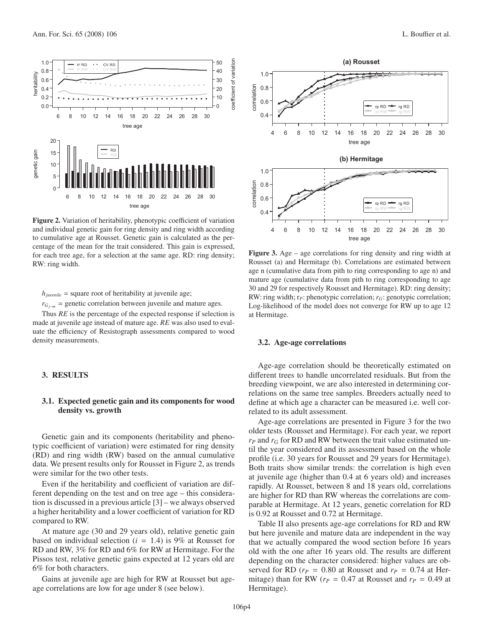**Figure 2.** Variation of heritability, phenotypic coefficient of variation and individual genetic gain for ring density and ring width according to cumulative age at Rousset. Genetic gain is calculated as the percentage of the mean for the trait considered. This gain is expressed, for each tree age, for a selection at the same age. RD: ring density; RW: ring width.

 $h_{\text{juvenile}}$  = square root of heritability at juvenile age;

 $r_{G_{i-m}}$  = genetic correlation between juvenile and mature ages.

Thus *RE* is the percentage of the expected response if selection is made at juvenile age instead of mature age. *RE* was also used to evaluate the efficiency of Resistograph assessments compared to wood density measurements.

# **3. RESULTS**

## **3.1. Expected genetic gain and its components for wood density vs. growth**

Genetic gain and its components (heritability and phenotypic coefficient of variation) were estimated for ring density (RD) and ring width (RW) based on the annual cumulative data. We present results only for Rousset in Figure 2, as trends were similar for the two other tests.

Even if the heritability and coefficient of variation are different depending on the test and on tree age – this consideration is discussed in a previous article [3] – we always observed a higher heritability and a lower coefficient of variation for RD compared to RW.

At mature age (30 and 29 years old), relative genetic gain based on individual selection  $(i = 1.4)$  is 9% at Rousset for RD and RW, 3% for RD and 6% for RW at Hermitage. For the Pissos test, relative genetic gains expected at 12 years old are 6% for both characters.

Gains at juvenile age are high for RW at Rousset but ageage correlations are low for age under 8 (see below).

**Figure 3.** Age – age correlations for ring density and ring width at Rousset (a) and Hermitage (b). Correlations are estimated between age n (cumulative data from pith to ring corresponding to age n) and mature age (cumulative data from pith to ring corresponding to age 30 and 29 for respectively Rousset and Hermitage). RD: ring density; RW: ring width;  $r_P$ : phenotypic correlation;  $r_G$ : genotypic correlation; Log-likelihood of the model does not converge for RW up to age 12 at Hermitage.

#### **3.2. Age-age correlations**

Age-age correlation should be theoretically estimated on different trees to handle uncorrelated residuals. But from the breeding viewpoint, we are also interested in determining correlations on the same tree samples. Breeders actually need to define at which age a character can be measured i.e. well correlated to its adult assessment.

Age-age correlations are presented in Figure 3 for the two older tests (Rousset and Hermitage). For each year, we report *rP* and *rG* for RD and RW between the trait value estimated until the year considered and its assessment based on the whole profile (i.e. 30 years for Rousset and 29 years for Hermitage). Both traits show similar trends: the correlation is high even at juvenile age (higher than 0.4 at 6 years old) and increases rapidly. At Rousset, between 8 and 18 years old, correlations are higher for RD than RW whereas the correlations are comparable at Hermitage. At 12 years, genetic correlation for RD is 0.92 at Rousset and 0.72 at Hermitage.

Table II also presents age-age correlations for RD and RW but here juvenile and mature data are independent in the way that we actually compared the wood section before 16 years old with the one after 16 years old. The results are different depending on the character considered: higher values are observed for RD ( $r_P = 0.80$  at Rousset and  $r_P = 0.74$  at Hermitage) than for RW ( $r_P = 0.47$  at Rousset and  $r_P = 0.49$  at Hermitage).



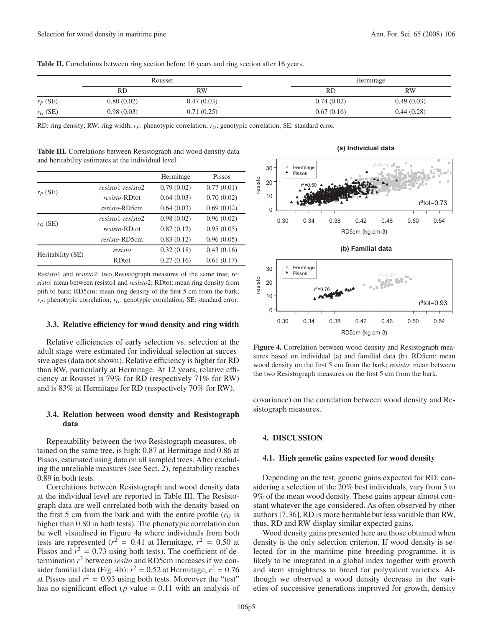|            | Rousset    |            | Hermitage  |            |
|------------|------------|------------|------------|------------|
|            | <b>RD</b>  | RW         | RD         | <b>RW</b>  |
| $r_P$ (SE) | 0.80(0.02) | 0.47(0.03) | 0.74(0.02) | 0.49(0.03) |
| $r_G$ (SE) | 0.98(0.03) | 0.71(0.25) | 0.67(0.16) | 0.44(0.28) |

Table II. Correlations between ring section before 16 years and ring section after 16 years.

RD: ring density; RW: ring width;  $r_P$ : phenotypic correlation;  $r_G$ : genotypic correlation; SE: standard error.

**Table III.** Correlations between Resistograph and wood density data and heritability estimates at the individual level.

|                   |                       | Hermitage  | <b>Pissos</b> |
|-------------------|-----------------------|------------|---------------|
|                   | $resistol-resistol$   | 0.79(0.02) | 0.77(0.01)    |
| $r_P$ (SE)        | <i>resisto</i> -RDtot | 0.64(0.03) | 0.70(0.02)    |
|                   | resisto-RD5cm         | 0.64(0.03) | 0.69(0.02)    |
|                   | $resistol-resistol$   | 0.98(0.02) | 0.96(0.02)    |
| $r_G$ (SE)        | resisto-RDtot         | 0.87(0.12) | 0.95(0.05)    |
|                   | resisto-RD5cm         | 0.83(0.12) | 0.96(0.05)    |
| Heritability (SE) | resisto               | 0.32(0.18) | 0.43(0.16)    |
|                   | <b>RDtot</b>          | 0.27(0.16) | 0.61(0.17)    |

*Resisto*1 and *resisto*2: two Resistograph measures of the same tree; *resisto*: mean between resisto1 and *resisto*2; RDtot: mean ring density from pith to bark; RD5cm: mean ring density of the first 5 cm from the bark; *rP*: phenotypic correlation; *rG*: genotypic correlation; SE: standard error.

#### **3.3. Relative e**ffi**ciency for wood density and ring width**

Relative efficiencies of early selection vs. selection at the adult stage were estimated for individual selection at successive ages (data not shown). Relative efficiency is higher for RD than RW, particularly at Hermitage. At 12 years, relative efficiency at Rousset is 79% for RD (respectively 71% for RW) and is 83% at Hermitage for RD (respectively 70% for RW).

# **3.4. Relation between wood density and Resistograph data**

Repeatability between the two Resistograph measures, obtained on the same tree, is high: 0.87 at Hermitage and 0.86 at Pissos, estimated using data on all sampled trees. After excluding the unreliable measures (see Sect. 2), repeatability reaches 0.89 in both tests.

Correlations between Resistograph and wood density data at the individual level are reported in Table III. The Resistograph data are well correlated both with the density based on the first 5 cm from the bark and with the entire profile  $(r_G$  is higher than 0.80 in both tests). The phenotypic correlation can be well visualised in Figure 4a where individuals from both tests are represented ( $r^2 = 0.41$  at Hermitage,  $r^2 = 0.50$  at Pissos and  $r^2 = 0.73$  using both tests). The coefficient of determination *r*<sup>2</sup> between *resito* and RD5cm increases if we consider familial data (Fig. 4b):  $r^2 = 0.52$  at Hermitage,  $r^2 = 0.76$ at Pissos and  $r^2 = 0.93$  using both tests. Moreover the "test" has no significant effect ( $p$  value = 0.11 with an analysis of



**Figure 4.** Correlation between wood density and Resistograph measures based on individual (a) and familial data (b). RD5cm: mean wood density on the first 5 cm from the bark; *resisto*: mean between the two Resistograph measures on the first 5 cm from the bark.

covariance) on the correlation between wood density and Resistograph measures.

## **4. DISCUSSION**

#### **4.1. High genetic gains expected for wood density**

Depending on the test, genetic gains expected for RD, considering a selection of the 20% best individuals, vary from 3 to 9% of the mean wood density. These gains appear almost constant whatever the age considered. As often observed by other authors [7,36], RD is more heritable but less variable than RW, thus, RD and RW display similar expected gains.

Wood density gains presented here are those obtained when density is the only selection criterion. If wood density is selected for in the maritime pine breeding programme, it is likely to be integrated in a global index together with growth and stem straightness to breed for polyvalent varieties. Although we observed a wood density decrease in the varieties of successive generations improved for growth, density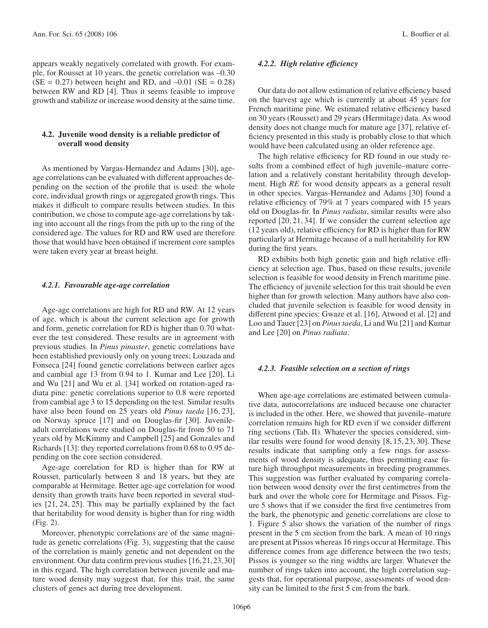appears weakly negatively correlated with growth. For example, for Rousset at 10 years, the genetic correlation was –0.30  $(SE = 0.27)$  between height and RD, and  $-0.01$   $(SE = 0.28)$ between RW and RD [4]. Thus it seems feasible to improve growth and stabilize or increase wood density at the same time.

# **4.2. Juvenile wood density is a reliable predictor of overall wood density**

As mentioned by Vargas-Hernandez and Adams [30], ageage correlations can be evaluated with different approaches depending on the section of the profile that is used: the whole core, individual growth rings or aggregated growth rings. This makes it difficult to compare results between studies. In this contribution, we chose to compute age-age correlations by taking into account all the rings from the pith up to the ring of the considered age. The values for RD and RW used are therefore those that would have been obtained if increment core samples were taken every year at breast height.

## *4.2.1. Favourable age-age correlation*

Age-age correlations are high for RD and RW. At 12 years of age, which is about the current selection age for growth and form, genetic correlation for RD is higher than 0.70 whatever the test considered. These results are in agreement with previous studies. In *Pinus pinaster*, genetic correlations have been established previously only on young trees; Louzada and Fonseca [24] found genetic correlations between earlier ages and cambial age 13 from 0.94 to 1. Kumar and Lee [20], Li and Wu [21] and Wu et al. [34] worked on rotation-aged radiata pine: genetic correlations superior to 0.8 were reported from cambial age 3 to 15 depending on the test. Similar results have also been found on 25 years old *Pinus taeda* [16, 23], on Norway spruce [17] and on Douglas-fir [30]. Juvenileadult correlations were studied on Douglas-fir from 50 to 71 years old by McKimmy and Campbell [25] and Gonzales and Richards [13]: they reported correlations from 0.68 to 0.95 depending on the core section considered.

Age-age correlation for RD is higher than for RW at Rousset, particularly between 8 and 18 years, but they are comparable at Hermitage. Better age-age correlation for wood density than growth traits have been reported in several studies [21, 24, 25]. This may be partially explained by the fact that heritability for wood density is higher than for ring width (Fig. 2).

Moreover, phenotypic correlations are of the same magnitude as genetic correlations (Fig. 3), suggesting that the cause of the correlation is mainly genetic and not dependent on the environment. Our data confirm previous studies [16,21,23,30] in this regard. The high correlation between juvenile and mature wood density may suggest that, for this trait, the same clusters of genes act during tree development.

# *4.2.2. High relative e*ffi*ciency*

Our data do not allow estimation of relative efficiency based on the harvest age which is currently at about 45 years for French maritime pine. We estimated relative efficiency based on 30 years (Rousset) and 29 years (Hermitage) data. As wood density does not change much for mature age [37], relative efficiency presented in this study is probably close to that which would have been calculated using an older reference age.

The high relative efficiency for RD found in our study results from a combined effect of high juvenile–mature correlation and a relatively constant heritability through development. High *RE* for wood density appears as a general result in other species. Vargas-Hernandez and Adams [30] found a relative efficiency of 79% at 7 years compared with 15 years old on Douglas-fir. In *Pinus radiata*, similar results were also reported [20, 21, 34]. If we consider the current selection age (12 years old), relative efficiency for RD is higher than for RW particularly at Hermitage because of a null heritability for RW during the first years.

RD exhibits both high genetic gain and high relative efficiency at selection age. Thus, based on these results, juvenile selection is feasible for wood density in French maritime pine. The efficiency of juvenile selection for this trait should be even higher than for growth selection. Many authors have also concluded that juvenile selection is feasible for wood density in different pine species: Gwaze et al. [16], Atwood et al. [2] and Loo and Tauer [23] on *Pinus taeda*, Li and Wu [21] and Kumar and Lee [20] on *Pinus radiata*.

# *4.2.3. Feasible selection on a section of rings*

When age-age correlations are estimated between cumulative data, autocorrelations are induced because one character is included in the other. Here, we showed that juvenile–mature correlation remains high for RD even if we consider different ring sections (Tab. II). Whatever the species considered, similar results were found for wood density [8, 15, 23, 30]. These results indicate that sampling only a few rings for assessments of wood density is adequate, thus permitting ease future high throughput measurements in breeding programmes. This suggestion was further evaluated by comparing correlation between wood density over the first centimetres from the bark and over the whole core for Hermitage and Pissos. Figure 5 shows that if we consider the first five centimetres from the bark, the phenotypic and genetic correlations are close to 1. Figure 5 also shows the variation of the number of rings present in the 5 cm section from the bark. A mean of 10 rings are present at Pissos whereas 16 rings occur at Hermitage. This difference comes from age difference between the two tests; Pissos is younger so the ring widths are larger. Whatever the number of rings taken into account, the high correlation suggests that, for operational purpose, assessments of wood density can be limited to the first 5 cm from the bark.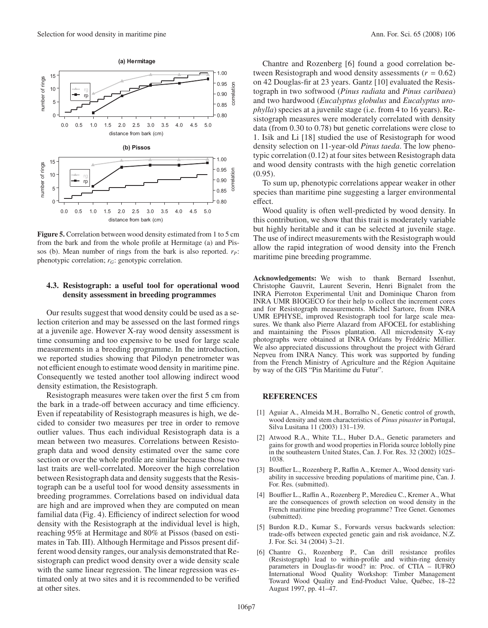



**Figure 5.** Correlation between wood density estimated from 1 to 5 cm from the bark and from the whole profile at Hermitage (a) and Pissos (b). Mean number of rings from the bark is also reported.  $r_P$ : phenotypic correlation;  $r_G$ : genotypic correlation.

# **4.3. Resistograph: a useful tool for operational wood density assessment in breeding programmes**

Our results suggest that wood density could be used as a selection criterion and may be assessed on the last formed rings at a juvenile age. However X-ray wood density assessment is time consuming and too expensive to be used for large scale measurements in a breeding programme. In the introduction, we reported studies showing that Pilodyn penetrometer was not efficient enough to estimate wood density in maritime pine. Consequently we tested another tool allowing indirect wood density estimation, the Resistograph.

Resistograph measures were taken over the first 5 cm from the bark in a trade-off between accuracy and time efficiency. Even if repeatability of Resistograph measures is high, we decided to consider two measures per tree in order to remove outlier values. Thus each individual Resistograph data is a mean between two measures. Correlations between Resistograph data and wood density estimated over the same core section or over the whole profile are similar because those two last traits are well-correlated. Moreover the high correlation between Resistograph data and density suggests that the Resistograph can be a useful tool for wood density assessments in breeding programmes. Correlations based on individual data are high and are improved when they are computed on mean familial data (Fig. 4). Efficiency of indirect selection for wood density with the Resistograph at the individual level is high, reaching 95% at Hermitage and 80% at Pissos (based on estimates in Tab. III). Although Hermitage and Pissos present different wood density ranges, our analysis demonstrated that Resistograph can predict wood density over a wide density scale with the same linear regression. The linear regression was estimated only at two sites and it is recommended to be verified at other sites.

Chantre and Rozenberg [6] found a good correlation between Resistograph and wood density assessments ( $r = 0.62$ ) on 42 Douglas-fir at 23 years. Gantz [10] evaluated the Resistograph in two softwood (*Pinus radiata* and *Pinus caribaea*) and two hardwood (*Eucalyptus globulus* and *Eucalyptus urophylla*) species at a juvenile stage (i.e. from 4 to 16 years). Resistograph measures were moderately correlated with density data (from 0.30 to 0.78) but genetic correlations were close to 1. Isik and Li [18] studied the use of Resistograph for wood density selection on 11-year-old *Pinus taeda*. The low phenotypic correlation (0.12) at four sites between Resistograph data and wood density contrasts with the high genetic correlation  $(0.95)$ .

To sum up, phenotypic correlations appear weaker in other species than maritime pine suggesting a larger environmental effect.

Wood quality is often well-predicted by wood density. In this contribution, we show that this trait is moderately variable but highly heritable and it can be selected at juvenile stage. The use of indirect measurements with the Resistograph would allow the rapid integration of wood density into the French maritime pine breeding programme.

**Acknowledgements:** We wish to thank Bernard Issenhut, Christophe Gauvrit, Laurent Severin, Henri Bignalet from the INRA Pierroton Experimental Unit and Dominique Charon from INRA UMR BIOGECO for their help to collect the increment cores and for Resistograph measurements. Michel Sartore, from INRA UMR EPHYSE, improved Resistograph tool for large scale measures. We thank also Pierre Alazard from AFOCEL for establishing and maintaining the Pissos plantation. All microdensity X-ray photographs were obtained at INRA Orléans by Frédéric Millier. We also appreciated discussions throughout the project with Gérard Nepveu from INRA Nancy. This work was supported by funding from the French Ministry of Agriculture and the Région Aquitaine by way of the GIS "Pin Maritime du Futur".

# **REFERENCES**

- [1] Aguiar A., Almeida M.H., Borralho N., Genetic control of growth, wood density and stem characteristics of *Pinus pinaster* in Portugal, Silva Lusitana 11 (2003) 131–139.
- [2] Atwood R.A., White T.L., Huber D.A., Genetic parameters and gains for growth and wood properties in Florida source loblolly pine in the southeastern United States, Can. J. For. Res. 32 (2002) 1025– 1038.
- [3] Bouffier L., Rozenberg P., Raffin A., Kremer A., Wood density variability in successive breeding populations of maritime pine, Can. J. For. Res. (submitted).
- [4] Bouffier L., Raffin A., Rozenberg P., Meredieu C., Kremer A., What are the consequences of growth selection on wood density in the French maritime pine breeding programme? Tree Genet. Genomes (submitted).
- [5] Burdon R.D., Kumar S., Forwards versus backwards selection: trade-offs between expected genetic gain and risk avoidance, N.Z. J. For. Sci. 34 (2004) 3–21.
- [6] Chantre G., Rozenberg P., Can drill resistance profiles (Resistograph) lead to within-profile and within-ring density parameters in Douglas-fir wood? in: Proc. of CTIA – IUFRO International Wood Quality Workshop: Timber Management Toward Wood Quality and End-Product Value, Québec, 18–22 August 1997, pp. 41–47.